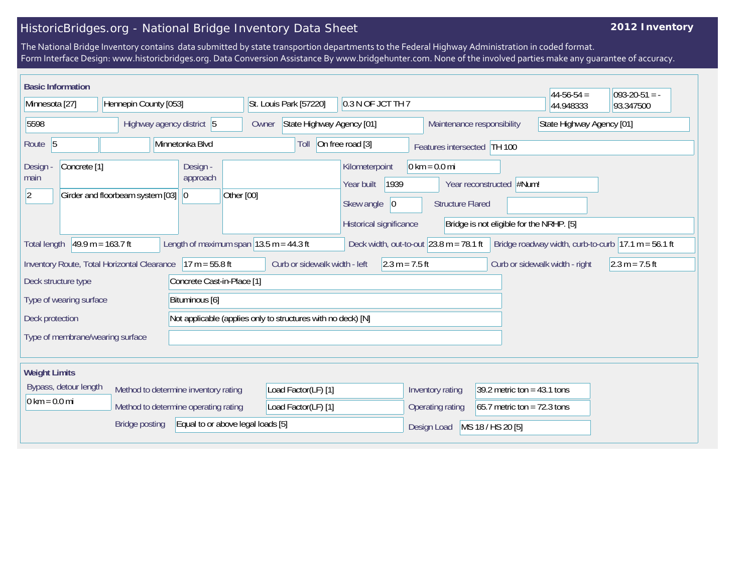## HistoricBridges.org - National Bridge Inventory Data Sheet

## **2012 Inventory**

The National Bridge Inventory contains data submitted by state transportion departments to the Federal Highway Administration in coded format. Form Interface Design: www.historicbridges.org. Data Conversion Assistance By www.bridgehunter.com. None of the involved parties make any guarantee of accuracy.

| <b>Basic Information</b>                                        |                         |                                  |                                                              |                                      |                                                             |                                             |                                |                                                                       |                             |                                 |                                           |                                                                      | $44-56-54 =$              | $ 093-20-51 $ = -                                                       |
|-----------------------------------------------------------------|-------------------------|----------------------------------|--------------------------------------------------------------|--------------------------------------|-------------------------------------------------------------|---------------------------------------------|--------------------------------|-----------------------------------------------------------------------|-----------------------------|---------------------------------|-------------------------------------------|----------------------------------------------------------------------|---------------------------|-------------------------------------------------------------------------|
| Minnesota [27]                                                  |                         |                                  | Hennepin County [053]                                        |                                      |                                                             | 0.3 N OF JCT TH 7<br>St. Louis Park [57220] |                                |                                                                       |                             |                                 |                                           |                                                                      | 44.948333                 | 93.347500                                                               |
| 5598                                                            |                         |                                  | Highway agency district 5                                    |                                      |                                                             | State Highway Agency [01]<br>Owner          |                                |                                                                       |                             |                                 |                                           | Maintenance responsibility                                           | State Highway Agency [01] |                                                                         |
| Route 5<br>Minnetonka Blvd                                      |                         |                                  | On free road [3]<br>Toll                                     |                                      |                                                             |                                             |                                |                                                                       | Features intersected TH 100 |                                 |                                           |                                                                      |                           |                                                                         |
| Design<br>main<br>$ 2\rangle$                                   | Concrete <sup>[1]</sup> | Girder and floorbeam system [03] |                                                              | Design -<br>approach<br>$ 0\rangle$  | Other [00]                                                  |                                             |                                | Kilometerpoint<br>Year built<br>Skew angle<br>Historical significance | 1939<br> 0                  | $0 \text{ km} = 0.0 \text{ mi}$ | <b>Structure Flared</b>                   | Year reconstructed #Num!<br>Bridge is not eligible for the NRHP. [5] |                           |                                                                         |
| <b>Total length</b>                                             |                         | $49.9 m = 163.7 ft$              |                                                              |                                      | Length of maximum span $ 13.5 \text{ m} = 44.3 \text{ ft} $ |                                             |                                |                                                                       |                             |                                 | Deck width, out-to-out $23.8$ m = 78.1 ft |                                                                      |                           | Bridge roadway width, curb-to-curb $ 17.1 \text{ m} = 56.1 \text{ ft} $ |
| Inventory Route, Total Horizontal Clearance<br>$17 m = 55.8 ft$ |                         |                                  | Curb or sidewalk width - left<br>$2.3 m = 7.5 ft$            |                                      |                                                             |                                             | Curb or sidewalk width - right | $2.3 m = 7.5 ft$                                                      |                             |                                 |                                           |                                                                      |                           |                                                                         |
| Concrete Cast-in-Place [1]<br>Deck structure type               |                         |                                  |                                                              |                                      |                                                             |                                             |                                |                                                                       |                             |                                 |                                           |                                                                      |                           |                                                                         |
| Type of wearing surface<br>Bituminous [6]                       |                         |                                  |                                                              |                                      |                                                             |                                             |                                |                                                                       |                             |                                 |                                           |                                                                      |                           |                                                                         |
| Deck protection                                                 |                         |                                  | Not applicable (applies only to structures with no deck) [N] |                                      |                                                             |                                             |                                |                                                                       |                             |                                 |                                           |                                                                      |                           |                                                                         |
| Type of membrane/wearing surface                                |                         |                                  |                                                              |                                      |                                                             |                                             |                                |                                                                       |                             |                                 |                                           |                                                                      |                           |                                                                         |
| <b>Weight Limits</b>                                            |                         |                                  |                                                              |                                      |                                                             |                                             |                                |                                                                       |                             |                                 |                                           |                                                                      |                           |                                                                         |
|                                                                 | Bypass, detour length   |                                  |                                                              | Method to determine inventory rating |                                                             | Load Factor(LF) [1]                         |                                |                                                                       |                             |                                 | Inventory rating                          | 39.2 metric ton = $43.1$ tons                                        |                           |                                                                         |
| $0 \text{ km} = 0.0 \text{ mi}$                                 |                         |                                  |                                                              | Method to determine operating rating |                                                             | Load Factor(LF) [1]                         |                                |                                                                       |                             |                                 | Operating rating                          | 65.7 metric ton = $72.3$ tons                                        |                           |                                                                         |
|                                                                 |                         | <b>Bridge posting</b>            |                                                              |                                      | Equal to or above legal loads [5]                           |                                             |                                |                                                                       |                             | Design Load                     |                                           | MS 18 / HS 20 [5]                                                    |                           |                                                                         |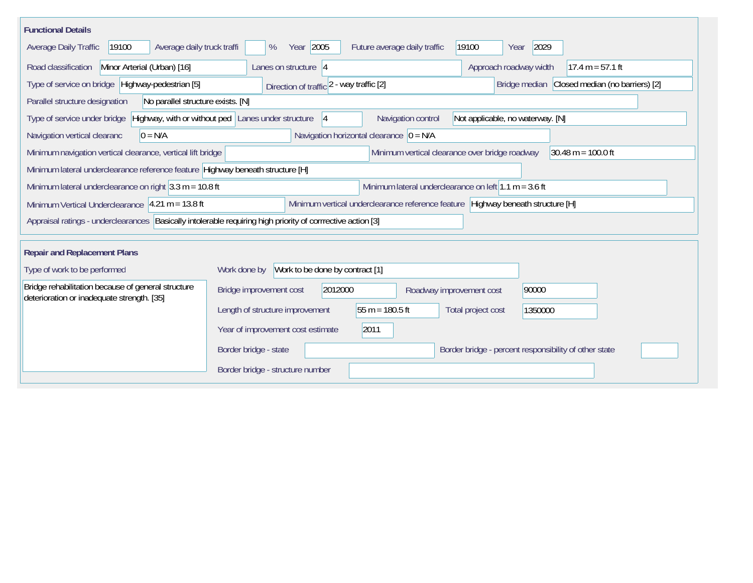| <b>Functional Details</b>                                                                                     |                                                                                                                    |
|---------------------------------------------------------------------------------------------------------------|--------------------------------------------------------------------------------------------------------------------|
| 19100<br>Average daily truck traffi<br>Average Daily Traffic                                                  | Year 2005<br>19100<br>2029<br>Future average daily traffic<br>%<br>Year                                            |
| Road classification<br>Minor Arterial (Urban) [16]                                                            | Approach roadway width<br>Lanes on structure $ 4 $<br>$17.4 m = 57.1 ft$                                           |
| Type of service on bridge Highway-pedestrian [5]                                                              | Closed median (no barriers) [2]<br>Bridge median<br>Direction of traffic 2 - way traffic [2]                       |
| No parallel structure exists. [N]<br>Parallel structure designation                                           |                                                                                                                    |
| Type of service under bridge                                                                                  | Highway, with or without ped Lanes under structure<br>Navigation control<br>Not applicable, no waterway. [N]<br> 4 |
| $0 = N/A$<br>Navigation vertical clearanc                                                                     | Navigation horizontal clearance $ 0 = N/A $                                                                        |
| Minimum navigation vertical clearance, vertical lift bridge                                                   | Minimum vertical clearance over bridge roadway<br>$30.48 \text{ m} = 100.0 \text{ ft}$                             |
| Minimum lateral underclearance reference feature Highway beneath structure [H]                                |                                                                                                                    |
| Minimum lateral underclearance on right $ 3.3 \text{ m} = 10.8 \text{ ft} $                                   | Minimum lateral underclearance on left $1.1 m = 3.6 ft$                                                            |
| Minimum Vertical Underclearance $ 4.21 \text{ m} = 13.8 \text{ ft} $                                          | Minimum vertical underclearance reference feature Highway beneath structure [H]                                    |
| Appraisal ratings - underclearances   Basically intolerable requiring high priority of corrrective action [3] |                                                                                                                    |
| <b>Repair and Replacement Plans</b>                                                                           |                                                                                                                    |
| Type of work to be performed                                                                                  | Work to be done by contract [1]<br>Work done by                                                                    |
| Bridge rehabilitation because of general structure<br>deterioration or inadequate strength. [35]              | Bridge improvement cost<br>2012000<br>90000<br>Roadway improvement cost                                            |
|                                                                                                               | 55 m = $180.5$ ft<br>Length of structure improvement<br>Total project cost<br>1350000                              |
|                                                                                                               | Year of improvement cost estimate<br>2011                                                                          |
|                                                                                                               | Border bridge - percent responsibility of other state<br>Border bridge - state                                     |
|                                                                                                               | Border bridge - structure number                                                                                   |